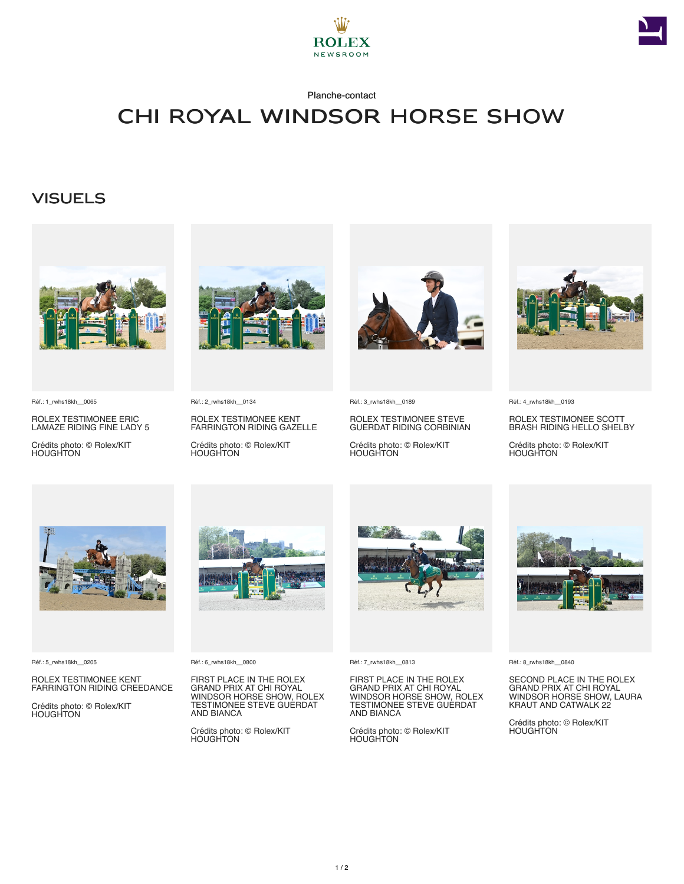



### Planche-contact

# CHI Royal Windsor Horse Show

### **VISUELS**



Réf.: 1\_rwhs18kh\_\_0065

ROLEX TESTIMONEE ERIC LAMAZE RIDING FINE LADY 5

Crédits photo: © Rolex/KIT HOUGHTON



Réf.: 2\_rwhs18kh\_\_0134

ROLEX TESTIMONEE KENT FARRINGTON RIDING GAZELLE

Crédits photo: © Rolex/KIT HOUGHTON



Réf.: 3\_rwhs18kh\_\_0189

ROLEX TESTIMONEE STEVE GUERDAT RIDING CORBINIAN

Crédits photo: © Rolex/KIT HOUGHTON



Réf.: 4\_rwhs18kh\_\_0193

ROLEX TESTIMONEE SCOTT BRASH RIDING HELLO SHELBY

Crédits photo: © Rolex/KIT HOUGHTON



Réf.: 5\_rwhs18kh\_\_0205

ROLEX TESTIMONEE KENT FARRINGTON RIDING CREEDANCE

Crédits photo: © Rolex/KIT HOUGHTON



Réf.: 6\_rwhs18kh\_\_0800

FIRST PLACE IN THE ROLEX GRAND PRIX AT CHI ROYAL WINDSOR HORSE SHOW, ROLEX TESTIMONEE STEVE GUERDAT AND BIANCA

Crédits photo: © Rolex/KIT HOUGHTON



Réf.: 7\_rwhs18kh\_\_0813

FIRST PLACE IN THE ROLEX GRAND PRIX AT CHI ROYAL WINDSOR HORSE SHOW, ROLEX TESTIMONEE STEVE GUERDAT AND BIANCA

Crédits photo: © Rolex/KIT HOUGHTON



Réf.: 8\_rwhs18kh\_\_0840

SECOND PLACE IN THE ROLEX GRAND PRIX AT CHI ROYAL WINDSOR HORSE SHOW, LAURA KRAUT AND CATWALK 22

Crédits photo: © Rolex/KIT HOUGHTON